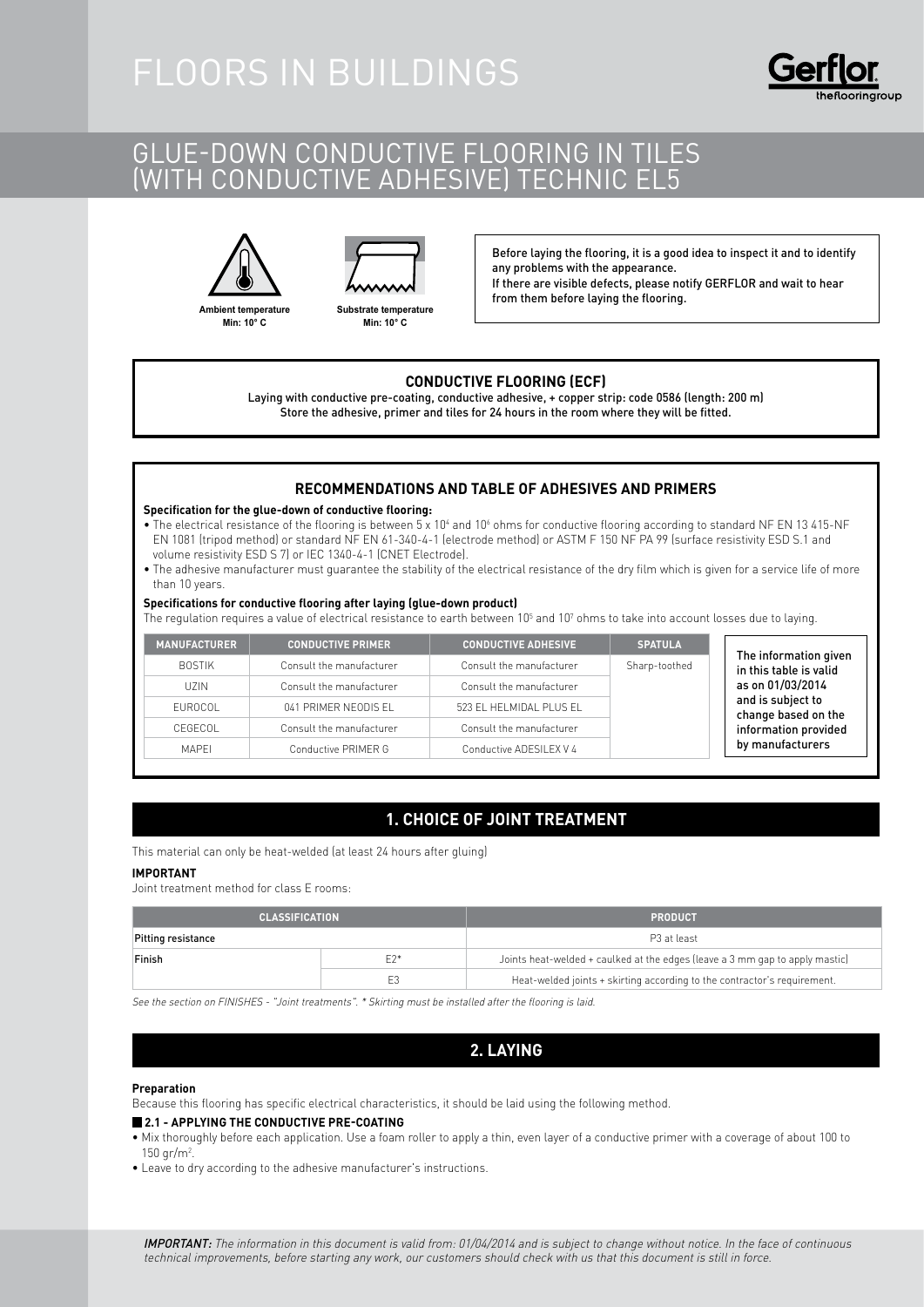# GLUE-DOWN CONDUCTIVE FLOORING IN TILES (with conductive adhesive) TECHNIC EL5





**Ambient temperature Min: 10° C**

**Substrate temperature Min: 10° C**

Before laying the flooring, it is a good idea to inspect it and to identify any problems with the appearance. If there are visible defects, please notify GERFLOR and wait to hear from them before laying the flooring.

### **CONDUCTIVE FLOORING (ECF)**

Laying with conductive pre-coating, conductive adhesive, + copper strip: code 0586 (length: 200 m) Store the adhesive, primer and tiles for 24 hours in the room where they will be fitted.

## **RECOMMENDATIONS AND TABLE OF ADHESIVES AND PRIMERS**

#### **Specification for the glue-down of conductive flooring:**

- The electrical resistance of the flooring is between 5 x 10<sup>4</sup> and 10<sup>6</sup> ohms for conductive flooring according to standard NF EN 13 415-NF EN 1081 (tripod method) or standard NF EN 61-340-4-1 (electrode method) or ASTM F 150 NF PA 99 (surface resistivity ESD S.1 and volume resistivity ESD S 7) or IEC 1340-4-1 (CNET Electrode).
- The adhesive manufacturer must guarantee the stability of the electrical resistance of the dry film which is given for a service life of more than 10 years.

#### **Specifications for conductive flooring after laying (glue-down product)**

The regulation requires a value of electrical resistance to earth between 10 $^5$  and 10 $^7$  ohms to take into account losses due to laying.

| <b>MANUFACTURER</b> | <b>CONDUCTIVE PRIMER</b> | <b>CONDUCTIVE ADHESIVE</b> | <b>SPATULA</b> | The information given                                                                |
|---------------------|--------------------------|----------------------------|----------------|--------------------------------------------------------------------------------------|
| <b>BOSTIK</b>       | Consult the manufacturer | Consult the manufacturer   | Sharp-toothed  | in this table is valid                                                               |
| UZIN.               | Consult the manufacturer | Consult the manufacturer   |                | as on 01/03/2014<br>and is subject to<br>change based on the<br>information provided |
| EUROCOL             | 041 PRIMER NEODIS EL     | 523 EL HELMIDAL PLUS EL    |                |                                                                                      |
| CEGECOL             | Consult the manufacturer | Consult the manufacturer   |                |                                                                                      |
| <b>MAPFI</b>        | Conductive PRIMER G      | Conductive ADESILEX V 4    |                | by manufacturers                                                                     |

# **1. CHOICE OF JOINT TREATMENT**

This material can only be heat-welded (at least 24 hours after gluing)

#### **IMPORTANT**

Joint treatment method for class E rooms:

| <b>CLASSIFICATION</b> |       | <b>PRODUCT</b>                                                               |  |
|-----------------------|-------|------------------------------------------------------------------------------|--|
| Pitting resistance    |       | P <sub>3</sub> at least                                                      |  |
| Finish                | $F2*$ | Joints heat-welded + caulked at the edges (leave a 3 mm gap to apply mastic) |  |
|                       | E3    | Heat-welded joints + skirting according to the contractor's requirement.     |  |

See the section on FINISHES - "Joint treatments". \* Skirting must be installed after the flooring is laid.

## **2. LAYING**

#### **Preparation**

Because this flooring has specific electrical characteristics, it should be laid using the following method.

#### **2.1 - Applying the conductive pre-coating**

- Mix thoroughly before each application. Use a foam roller to apply a thin, even layer of a conductive primer with a coverage of about 100 to 150  $gr/m^2$ .
- Leave to dry according to the adhesive manufacturer's instructions.

IMPORTANT: The information in this document is valid from: 01/04/2014 and is subject to change without notice. In the face of continuous technical improvements, before starting any work, our customers should check with us that this document is still in force.